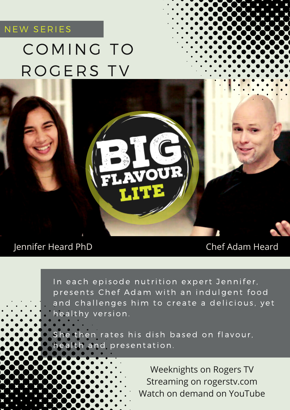### NEW SERIES

# COMING TO ROGERS TV

### Jennifer Heard PhD Chef Adam Heard

In each episode nutrition expert Jennifer, presents Chef Adam with an indulgent food and challenges him to create a delicious, yet healthy version.

VOU

She then rates his dish based on flavour, health and presentation.

> Weeknights on Rogers TV Streaming on rogerstv.com Watch on demand on YouTube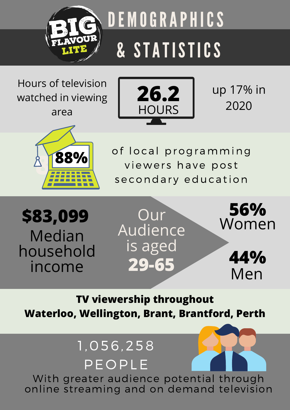

Hours of television watched in viewing area



up 17% in 2020



of local programming viewers have post secondary education









**TV viewership throughout Waterloo, Wellington, Brant, Brantford, Perth**

# 1,056, 2 58 PE O PLE

With greater audience potential through online streaming and on demand television